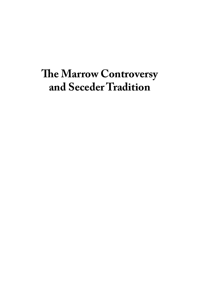# **!e Marrow Controversy and Seceder Tradition**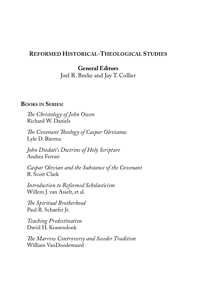### **REFORMED HISTORICAL-THEOLOGICAL STUDIES**

## **General Editors**

Joel R. Beeke and Jay T. Collier

### **BOOKS IN SERIES:**

*!e Christology of John Owen* Richard W. Daniels

*!e Covenant !eology of Caspar Olevianus* Lyle D. Bierma

*John Diodati's Doctrine of Holy Scripture* Andrea Ferrari

*Caspar Olevian and the Substance of the Covenant* R. Scott Clark

*Introduction to Reformed Scholasticism* Willem J. van Asselt, et al.

*!e Spiritual Brotherhood* Paul R. Schaefer Jr.

*Teaching Predestination* David H. Kranendonk

*!e Marrow Controversy and Seceder Tradition* William VanDoodewaard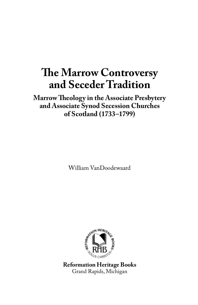# **!e Marrow Controversy and Seceder Tradition**

**Marrow !eology in the Associate Presbytery and Associate Synod Secession Churches of Scotland (1733–1799)**

William VanDoodewaard



**Reformation Heritage Books** Grand Rapids, Michigan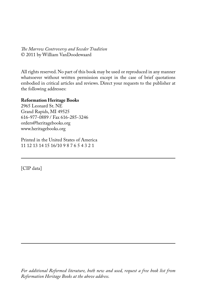*!e Marrow Controversy and Seceder Tradition* © 2011 by William VanDoodewaard

All rights reserved. No part of this book may be used or reproduced in any manner whatsoever without written permission except in the case of brief quotations embodied in critical articles and reviews. Direct your requests to the publisher at the following addresses:

#### **Reformation Heritage Books**

2965 Leonard St. NE Grand Rapids, MI 49525 616-977-0889 / Fax 616-285-3246 orders@heritagebooks.org www.heritagebooks.org

Printed in the United States of America 11 12 13 14 15 16/10 9 8 7 6 5 4 3 2 1

[CIP data]

*For additional Reformed literature, both new and used, request a free book list from Reformation Heritage Books at the above address.*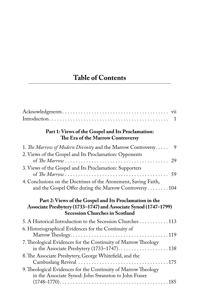# **Table of Contents**

| Part 1: Views of the Gospel and Its Proclamation:<br>The Era of the Marrow Controversy                                                                               |
|----------------------------------------------------------------------------------------------------------------------------------------------------------------------|
| 1. The Marrow of Modern Divinity and the Marrow Controversy<br>9<br>2. Views of the Gospel and Its Proclamation: Opponents                                           |
| 29<br>3. Views of the Gospel and Its Proclamation: Supporters                                                                                                        |
|                                                                                                                                                                      |
| 4. Conclusions on the Doctrines of the Atonement, Saving Faith,<br>and the Gospel Offer during the Marrow Controversy104                                             |
| Part 2: Views of the Gospel and Its Proclamation in the<br>Associate Presbytery (1733–1747) and Associate Synod (1747–1799)<br><b>Secession Churches in Scotland</b> |
| 5. A Historical Introduction to the Secession Churches 113                                                                                                           |
| 6. Historiographical Evidences for the Continuity of                                                                                                                 |
| 7. Theological Evidences for the Continuity of Marrow Theology                                                                                                       |
| 8. The Associate Presbytery, George Whitefield, and the                                                                                                              |
| 9. Theological Evidences for the Continuity of Marrow Theology<br>in the Associate Synod: John Swanston to John Fraser                                               |
|                                                                                                                                                                      |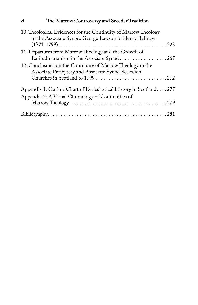# vi **!e Marrow Controversy and Seceder Tradition**

| 10. Theological Evidences for the Continuity of Marrow Theology<br>in the Associate Synod: George Lawson to Henry Belfrage |
|----------------------------------------------------------------------------------------------------------------------------|
|                                                                                                                            |
| 11. Departures from Marrow Theology and the Growth of<br>Latitudinarianism in the Associate Synod267                       |
| 12. Conclusions on the Continuity of Marrow Theology in the<br>Associate Presbytery and Associate Synod Secession          |
|                                                                                                                            |
| Appendix 1: Outline Chart of Ecclesiastical History in Scotland277                                                         |
| Appendix 2: A Visual Chronology of Continuities of                                                                         |
|                                                                                                                            |
|                                                                                                                            |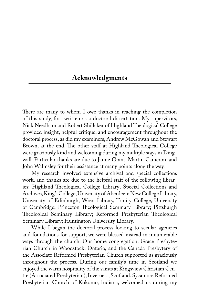### **Acknowledgments**

There are many to whom I owe thanks in reaching the completion of this study, first written as a doctoral dissertation. My supervisors, Nick Needham and Robert Shillaker of Highland Theological College provided insight, helpful critique, and encouragement throughout the doctoral process, as did my examiners, Andrew McGowan and Stewart Brown, at the end. The other staff at Highland Theological College were graciously kind and welcoming during my multiple stays in Dingwall. Particular thanks are due to Jamie Grant, Martin Cameron, and John Walmsley for their assistance at many points along the way.

My research involved extensive archival and special collections work, and thanks are due to the helpful staff of the following libraries: Highland Theological College Library; Special Collections and Archives, King's College, University of Aberdeen; New College Library, University of Edinburgh; Wren Library, Trinity College, University of Cambridge; Princeton Theological Seminary Library; Pittsburgh Theological Seminary Library; Reformed Presbyterian Theological Seminary Library; Huntington University Library.

While I began the doctoral process looking to secular agencies and foundations for support, we were blessed instead in innumerable ways through the church. Our home congregation, Grace Presbyterian Church in Woodstock, Ontario, and the Canada Presbytery of the Associate Reformed Presbyterian Church supported us graciously throughout the process. During our family's time in Scotland we enjoyed the warm hospitality of the saints at Kingsview Christian Centre (Associated Presbyterian), Inverness, Scotland. Sycamore Reformed Presbyterian Church of Kokomo, Indiana, welcomed us during my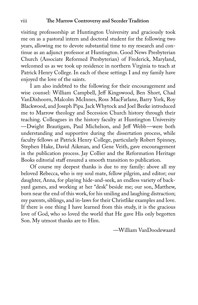visiting professorship at Huntington University and graciously took me on as a pastoral intern and doctoral student for the following two years, allowing me to devote substantial time to my research and continue as an adjunct professor at Huntington. Good News Presbyterian Church (Associate Reformed Presbyterian) of Frederick, Maryland, welcomed us as we took up residence in northern Virginia to teach at Patrick Henry College. In each of these settings I and my family have enjoyed the love of the saints.

I am also indebted to the following for their encouragement and wise counsel: William Campbell, Jeff Kingswood, Ben Short, Chad VanDixhoorn, Malcolm McInnes, Ross MacFarlane, Barry York, Roy Blackwood, and Joseph Pipa. Jack Whytock and Joel Beeke introduced me to Marrow theology and Secession Church history through their teaching. Colleagues in the history faculty at Huntington University -Dwight Brautigam, Paul Michelson, and Jeff Webb-were both understanding and supportive during the dissertation process, while faculty fellows at Patrick Henry College, particularly Robert Spinney, Stephen Hake, David Aikman, and Gene Veith, gave encouragement in the publication process. Jay Collier and the Reformation Heritage Books editorial staff ensured a smooth transition to publication.

Of course my deepest thanks is due to my family: above all my beloved Rebecca, who is my soul mate, fellow pilgrim, and editor; our daughter, Anna, for playing hide-and-seek, an endless variety of backyard games, and working at her "desk" beside me; our son, Matthew, born near the end of this work, for his smiling and laughing distraction; my parents, siblings, and in-laws for their Christlike examples and love. If there is one thing I have learned from this study, it is the gracious love of God, who so loved the world that He gave His only begotten Son. My utmost thanks are to Him.

—William VanDoodewaard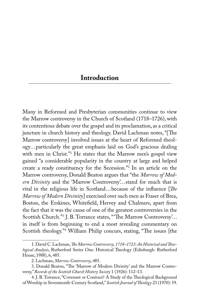## **Introduction**

Many in Reformed and Presbyterian communities continue to view the Marrow controversy in the Church of Scotland (1718–1726), with its contentious debate over the gospel and its proclamation, as a critical juncture in church history and theology. David Lachman notes, "[The Marrow controversy] involved issues at the heart of Reformed theology...particularly the great emphasis laid on God's gracious dealing with men in Christ."1 He states that the Marrow men's gospel view gained "a considerable popularity in the country at large and helped create a ready constituency for the Secession."2 In an article on the Marrow controversy, Donald Beaton argues that "the *Marrow of Modern Divinity* and the 'Marrow Controversy'...stand for much that is vital in the religious life in Scotland...because of the influence [*The Marrow of Modern Divinity*] exercised over such men as Fraser of Brea, Boston, the Erskines, Whitefield, Hervey and Chalmers, apart from the fact that it was the cause of one of the greatest controversies in the Scottish Church."<sup>3</sup> J. B. Torrance states, "'The Marrow Controversy'... in itself is from beginning to end a most revealing commentary on Scottish theology."4 William Philip concurs, stating, "The issues [the

<sup>1.</sup> David C. Lachman, *!e Marrow Controversy, 1718–1723: An Historical and !eo*logical Analysis, Rutherford Series One: Historical Theology (Edinburgh: Rutherford House, 1988), 6, 485.

<sup>2.</sup> Lachman, *Marrow Controversy*, 485.

<sup>3.</sup> Donald Beaton, "The 'Marrow of Modern Divinity' and the Marrow Controversy," *Records of the Scottish Church History Society* 1 (1926): 112–13.

<sup>4.</sup> J. B. Torrance, "Covenant or Contract? A Study of the Theological Background of Worship in Seventeenth-Century Scotland," *Scottish Journal of !eology* 23 (1970): 59.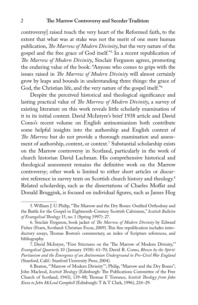#### 2 **!e Marrow Controversy and Seceder Tradition**

controversy] raised touch the very heart of the Reformed faith, to the extent that what was at stake was not the merit of one mere human publication, *The Marrow of Modern Divinity*, but the very nature of the gospel and the free grace of God itself."5 In a recent republication of *!e Marrow of Modern Divinity*, Sinclair Ferguson agrees, promoting the enduring value of the book: "Anyone who comes to grips with the issues raised in *The Marrow of Modern Divinity* will almost certainly grow by leaps and bounds in understanding three things: the grace of God, the Christian life, and the very nature of the gospel itself."6

Despite the perceived historical and theological significance and lasting practical value of *The Marrow of Modern Divinity*, a survey of existing literature on this work reveals little scholarly examination of it in its initial context. David McIntyre's brief 1938 article and David Como's recent volume on English antinomianism both contribute some helpful insights into the authorship and English context of *!e Marrow* but do not provide a thorough examination and assessment of authorship, content, or context.7 Substantial scholarship exists on the Marrow controversy in Scotland, particularly in the work of church historian David Lachman. His comprehensive historical and theological assessment remains the definitive work on the Marrow controversy; other work is limited to either short articles or discursive reference in survey texts on Scottish church history and theology.<sup>8</sup> Related scholarship, such as the dissertations of Charles Moffat and Donald Bruggink, is focused on individual figures, such as James Hog

<sup>5.</sup> William J. U. Philip, "The Marrow and the Dry Bones: Ossified Orthodoxy and the Battle for the Gospel in Eighteenth-Century Scottish Calvinism," *Scottish Bulletin of Evangelical !eology* 15, no. 1 (Spring 1997): 27.

<sup>6.</sup> Sinclair Ferguson, book jacket of *!e Marrow of Modern Divinity* by Edward Fisher (Fearn, Scotland: Christian Focus, 2009). This fine republication includes introductory essays, Thomas Boston's commentary, an index of Scripture references, and bibliography.

<sup>7.</sup> David McIntyre, "First Strictures on the 'The Marrow of Modern Divinity," *Evangelical Quarterly* 10 ( January 1938): 61–70; David R. Como, *Blown by the Spirit: Puritanism and the Emergence of an Antinomian Underground in Pre-Civil War England*  (Stanford, Calif.: Stanford University Press, 2004).

<sup>8.</sup>Beaton, "'Marrow of Modern Divinity'"; Philip, "Marrow and the Dry Bones"; John Macleod, *Scottish Theology* (Edinburgh: The Publications Committee of the Free Church of Scotland, 1943), 139-88; Thomas F. Torrance, *Scottish Theology from John Knox to John McLeod Campbell* (Edinburgh: T & T Clark, 1996), 224–29.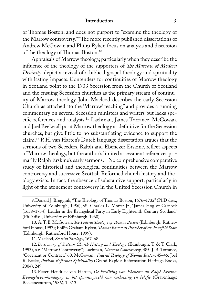#### **Introduction** 3

or Thomas Boston, and does not purport to "examine the theology of the Marrow controversy." The more recently published dissertations of Andrew McGowan and Philip Ryken focus on analysis and discussion of the theology of Thomas Boston.<sup>10</sup>

Appraisals of Marrow theology, particularly when they describe the influence of the theology of the supporters of *The Marrow of Modern Divinity*, depict a revival of a biblical gospel theology and spirituality with lasting impacts. Contenders for continuities of Marrow theology in Scotland point to the 1733 Secession from the Church of Scotland and the ensuing Secession churches as the primary stream of continuity of Marrow theology. John Macleod describes the early Secession Church as attached "to the 'Marrow' teaching" and provides a running commentary on several Secession ministers and writers but lacks specific references and analysis.<sup>11</sup> Lachman, James Torrance, McGowan, and Joel Beeke all posit Marrow theology as definitive for the Secession churches, but give little to no substantiating evidence to support the claim.12 P. H. van Harten's Dutch language dissertation argues that the sermons of two Seceders, Ralph and Ebenezer Erskine, reflect aspects of Marrow theology, but the author's limited assessment references primarily Ralph Erskine's early sermons.13 No comprehensive comparative study of historical and theological continuities between the Marrow controversy and successive Scottish Reformed church history and theology exists. In fact, the absence of substantive support, particularly in light of the atonement controversy in the United Secession Church in

<sup>9.</sup> Donald J. Bruggink, "The Theology of Thomas Boston, 1676–1732" (PhD diss., University of Edinburgh, 1956), vii. Charles L. Moffat Jr., "James Hog of Carnock (1658–1734): Leader in the Evangelical Party in Early Eighteenth Century Scotland" (PhD diss., University of Edinburgh, 1960).

<sup>10.</sup> A. T. B. McGowan, *!e Federal !eology of !omas Boston* (Edinburgh: Rutherford House, 1997); Philip Graham Ryken, *!omas Boston as Preacher of the Fourfold State* (Edinburgh: Rutherford House, 1999).

<sup>11.</sup>Macleod, *Scottish !eology*, 167–68.

<sup>12.</sup>*Dictionary of Scottish Church History and !eology* (Edinburgh: T & T Clark, 1993), s.v. "Marrow Controversy"; Lachman, *Marrow Controversy*, 485; J. B. Torrance, "Covenant or Contract," 60; McGowan, *Federal !eology of !omas Boston*, 45–46; Joel R. Beeke, *Puritan Reformed Spirituality* (Grand Rapids: Reformation Heritage Books, 2004), 249.

<sup>13.</sup> Pieter Hendrick van Harten, *De Prediking van Ebenezer an Ralph Erskine: Evangeliever-kondiging in het spanningsveld van verkeizing en belofte* (Gravenhage: Boekencentrum, 1986), 1–313.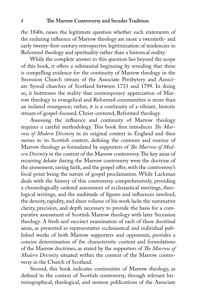the 1840s, raises the legitimate question whether such statements of the enduring influence of Marrow theology are more a twentieth- and early twenty-first-century retrospective legitimization of tendencies in Reformed theology and spirituality rather than a historical reality.

While the complete answer to this question lies beyond the scope of this book, it offers a substantial beginning by revealing that there is compelling evidence for the continuity of Marrow theology in the Secession Church stream of the Associate Presbytery and Associate Synod churches of Scotland between 1733 and 1799. In doing so, it buttresses the reality that contemporary appreciation of Marrow theology in evangelical and Reformed communities is more than an isolated resurgence; rather, it is a continuity of a vibrant, historic stream of gospel-focused, Christ-centered, Reformed theology.

Assessing the influence and continuity of Marrow theology requires a careful methodology. This book first introduces *The Marrow of Modern Divinity* in its original context in England and then moves to its Scottish context, defining the contours and essence of Marrow theology as formulated by supporters of *The Marrow of Modern Divinity* in the context of the Marrow controversy. The key areas of recurring debate during the Marrow controversy were the doctrine of the atonement, saving faith, and the gospel offer, with the controversy's focal point being the nature of gospel proclamation. While Lachman deals with the history of this controversy comprehensively, providing a chronologically ordered assessment of ecclesiastical meetings, theological writings, and the multitude of figures and influences involved, the density, rapidity, and sheer volume of his work lacks the summative clarity, precision, and depth necessary to provide the basis for a comparative assessment of Scottish Marrow theology with later Secession theology. A fresh and succinct examination of each of these doctrinal areas, as presented in representative ecclesiastical and individual published works of both Marrow supporters and opponents, provides a concise determination of the characteristic content and formulations of the Marrow doctrines, as stated by the supporters of *!e Marrow of Modern Divinity* situated within the context of the Marrow controversy in the Church of Scotland.

Second, this book indicates continuities of Marrow theology, as defined in the context of Scottish controversy, through relevant historiographical, theological, and sermon publications of the Associate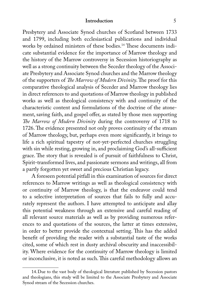#### **Introduction** 5

Presbytery and Associate Synod churches of Scotland between 1733 and 1799, including both ecclesiastical publications and individual works by ordained ministers of these bodies.<sup>14</sup> These documents indicate substantial evidence for the importance of Marrow theology and the history of the Marrow controversy in Secession historiography as well as a strong continuity between the Seceder theology of the Associate Presbytery and Associate Synod churches and the Marrow theology of the supporters of *The Marrow of Modern Divinity*. The proof for this comparative theological analysis of Seceder and Marrow theology lies in direct references to and quotations of Marrow theology in published works as well as theological consistency with and continuity of the characteristic content and formulations of the doctrine of the atonement, saving faith, and gospel offer, as stated by those men supporting *!e Marrow of Modern Divinity* during the controversy of 1718 to 1726. The evidence presented not only proves continuity of the stream of Marrow theology, but, perhaps even more significantly, it brings to life a rich spiritual tapestry of not-yet-perfected churches struggling with sin while resting, growing in, and proclaiming God's all-sufficient grace. The story that is revealed is of pursuit of faithfulness to Christ, Spirit-transformed lives, and passionate sermons and writings, all from a partly forgotten yet sweet and precious Christian legacy.

A foreseen potential pitfall in this examination of sources for direct references to Marrow writings as well as theological consistency with or continuity of Marrow theology, is that the endeavor could tend to a selective interpretation of sources that fails to fully and accurately represent the authors. I have attempted to anticipate and allay this potential weakness through an extensive and careful reading of all relevant source materials as well as by providing numerous references to and quotations of the sources, the latter at times extensive, in order to better provide the contextual setting. This has the added benefit of providing the reader with a substantial taste of the works cited, some of which rest in dusty archival obscurity and inaccessibility. Where evidence for the continuity of Marrow theology is limited or inconclusive, it is noted as such. This careful methodology allows an

<sup>14.</sup>Due to the vast body of theological literature published by Secession pastors and theologians, this study will be limited to the Associate Presbytery and Associate Synod stream of the Secession churches.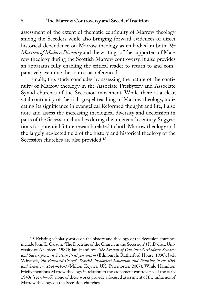assessment of the extent of thematic continuity of Marrow theology among the Seceders while also bringing forward evidences of direct historical dependence on Marrow theology as embodied in both *The Marrow of Modern Divinity* and the writings of the supporters of Marrow theology during the Scottish Marrow controversy. It also provides an apparatus fully enabling the critical reader to return to and comparatively examine the sources as referenced.

Finally, this study concludes by assessing the nature of the continuity of Marrow theology in the Associate Presbytery and Associate Synod churches of the Secession movement. While there is a clear, vital continuity of the rich gospel teaching of Marrow theology, indicating its significance in evangelical Reformed thought and life, I also note and assess the increasing theological diversity and declension in parts of the Secession churches during the nineteenth century. Suggestions for potential future research related to both Marrow theology and the largely neglected field of the history and historical theology of the Secession churches are also provided.<sup>15</sup>

<sup>15.</sup>Existing scholarly works on the history and theology of the Secession churches include John L. Carson, "The Doctrine of the Church in the Secession" (PhD diss., University of Aberdeen, 1987); Ian Hamilton, *!e Erosion of Calvinist Orthodoxy: Seceders and Subscription in Scottish Presbyterianism* (Edinburgh: Rutherford House, 1990); Jack Whytock, *"An Educated Clergy": Scottish !eological Education and Training in the Kirk and Secession, 1560–1850* (Milton Keynes, UK: Paternoster, 2007). While Hamilton briefly mentions Marrow theology in relation to the atonement controversy of the early 1840s (see 64–65), none of these works provide a focused assessment of the influence of Marrow theology on the Secession churches.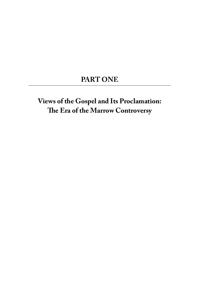# **PART ONE**

# **Views of the Gospel and Its Proclamation: !e Era of the Marrow Controversy**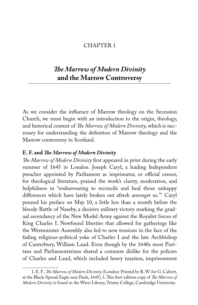### CHAPTER 1

## *!e Marrow of Modern Divinity* **and the Marrow Controversy**

As we consider the influence of Marrow theology on the Secession Church, we must begin with an introduction to the origin, theology, and historical context of *The Marrow of Modern Divinity*, which is necessary for understanding the definition of Marrow theology and the Marrow controversy in Scotland.

### **E. F. and** *!e Marrow of Modern Divinity*

The Marrow of Modern Divinity first appeared in print during the early summer of 1645 in London. Joseph Caryl, a leading Independent preacher appointed by Parliament as imprimatur, or official censor, for theological literature, praised the work's clarity, moderation, and helpfulness in "endeavouring to reconcile and heal those unhappy differences which have lately broken out afresh amongst us."<sup>1</sup> Caryl penned his preface on May 10, a little less than a month before the bloody Battle of Naseby, a decisive military victory marking the gradual ascendancy of the New Model Army against the Royalist forces of King Charles I. Newfound liberties that allowed for gatherings like the Westminster Assembly also led to new tensions in the face of the fading religious-political yoke of Charles I and the late Archbishop of Canterbury, William Laud. Even though by the 1640s most Puritans and Parliamentarians shared a common dislike for the policies of Charles and Laud, which included heavy taxation, imprisonment

<sup>1.</sup> E. F., *!e Marrow of Modern Divinity* (London: Printed by R. W. for G. Calvert, at the Black-Spread Eagle near Pauls, 1645), 1. This first-edition copy of *The Marrow of Modern Divinity* is found in the Wren Library, Trinity College, Cambridge University.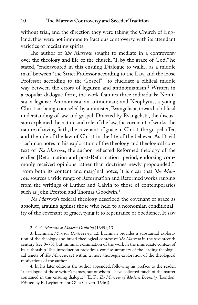without trial, and the direction they were taking the Church of England, they were not immune to fractious controversy, with its attendant varieties of mediating spirits.

The author of *The Marrow* sought to mediate in a controversy over the theology and life of the church. "I, by the grace of God," he stated, "endeavoured in this ensuing Dialogue to walk...as a middle man" between "the Strict Professor according to the Law, and the loose Professor according to the Gospel"—to elucidate a biblical middle way between the errors of legalism and antinomianism.2 Written in a popular dialogue form, the work features three individuals: Nomista, a legalist; Antinomista, an antinomian; and Neophytus, a young Christian being counseled by a minister, Evangelista, toward a biblical understanding of law and gospel. Directed by Evangelista, the discussion explained the nature and role of the law, the covenant of works, the nature of saving faith, the covenant of grace in Christ, the gospel offer, and the role of the law of Christ in the life of the believer. As David Lachman notes in his exploration of the theology and theological context of *The Marrow*, the author "reflected Reformed theology of the earlier [Reformation and post-Reformation] period, endorsing commonly received opinions rather than doctrines newly propounded."3 From both its content and marginal notes, it is clear that *The Marrow* sources a wide range of Reformation and Reformed works ranging from the writings of Luther and Calvin to those of contemporaries such as John Preston and Thomas Goodwin.<sup>4</sup>

*!e Marrow*'s federal theology described the covenant of grace as absolute, arguing against those who held to a neonomian conditionality of the covenant of grace, tying it to repentance or obedience. It saw

<sup>2.</sup> E. F., *Marrow of Modern Divinity* (1645), 13.

<sup>3.</sup> Lachman, *Marrow Controversy*, 12. Lachman provides a substantial exploration of the theology and broad theological context of *!e Marrow* in the seventeenth century (see 9–73), but minimal examination of the work in the immediate context of its authorship. This introduction provides a concise summary of the leading theological tenets of *The Marrow*, set within a more thorough exploration of the theological motivations of the author.

<sup>4.</sup> In his later editions the author appended, following his preface to the reader, "a catalogue of those writer's names, out of whom I have collected much of the matter contained in this ensuing dialogue" (E. F., *!e Marrow of Modern Divinity* [London: Printed by R. Leybourn, for Giles Calvert, 1646]).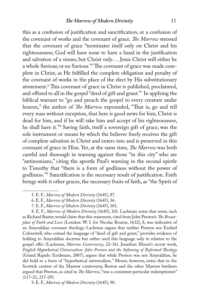this as a confusion of justification and sanctification, or a confusion of the covenant of works and the covenant of grace. *!e Marrow* stressed that the covenant of grace "terminates itself only on Christ and his righteousness; God will have none to have a hand in the justification and salvation of a sinner, but Christ only.... Jesus Christ will either be a whole Saviour, or no Saviour."<sup>5</sup> The covenant of grace was made complete in Christ, as He fulfilled the complete obligation and penalty of the covenant of works in the place of the elect by His substitutionary atonement.<sup>6</sup> This covenant of grace in Christ is published, proclaimed, and offered to all in the gospel "deed of gift and grant."<sup>7</sup> In applying the biblical warrant to "go and preach the gospel to every creature under heaven," the author of *The Marrow* expounded, "That is, go and tell every man without exception, that here is good news for him, Christ is dead for him, and if he will take him and accept of his righteousness, he shall have it."8 Saving faith, itself a sovereign gift of grace, was the sole instrument or means by which the believer freely receives the gift of complete salvation in Christ and enters into and is preserved in this covenant of grace in Him. Yet, at the same time, *!e Marrow* was both careful and thorough in warning against those "in this city" who are "antinomians," citing the apostle Paul's warning in the second epistle to Timothy that "there is a form of godliness without the power of godliness."<sup>9</sup> Sanctification is the necessary result of justification. Faith brings with it other graces, the necessary fruits of faith, as "the Spirit of

8. E. F., *Marrow of Modern Divinity* (1645), 101. Lachman notes that some, such as Richard Baxter, would claim that this statement, cited from John Preston's *!e Breastplate of Faith and Love* (London: W. I. for Nicolas Bourne, 1632), 8, was indicative of an Amyraldian covenant theology. Lachman argues that neither Preston nor Ezekiel Culverwell, who coined the language of "deed of gift and grant," provides evidence of holding to Amyraldian doctrine but rather used this language only in relation to the gospel offer (Lachman, *Marrow Controversy*, 22–36). Jonathan Moore's recent work, *English Hypothetical Universalism: John Preston and the Softening of Reformed !eology* (Grand Rapids: Eerdmans, 2007), argues that while Preston was not Amyraldian, he did hold to a form of "hypothetical universalism." Moore, however, notes that in the Scottish context of the Marrow controversy, Boston and the other Marrow brethren argued that Preston, as cited in *The Marrow*, "was a consistent particular redemptionist" (117–21, 217–29).

9. E. F., *Marrow of Modern Divinity* (1645), 90.

<sup>5.</sup> E. F., *Marrow of Modern Divinity* (1645), 87.

<sup>6.</sup> E. F., *Marrow of Modern Divinity* (1645), 36.

<sup>7.</sup> E. F., *Marrow of Modern Divinity* (1645), 101.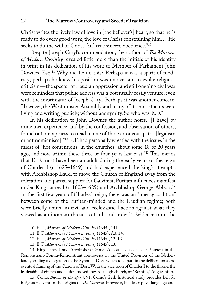12 **!e Marrow Controversy and Seceder Tradition**

Christ writes the lively law of love in [the believer's] heart, so that he is ready to do every good work, the love of Christ constraining him.... He seeks to do the will of God...[in] true sincere obedience."<sup>10</sup>

Despite Joseph Caryl's commendation, the author of *The Marrow of Modern Divinity* revealed little more than the initials of his identity in print in his dedication of his work to Member of Parliament John Downes, Esq.11 Why did he do this? Perhaps it was a spirit of modesty; perhaps he knew his position was one certain to evoke religious criticism—the specter of Laudian oppression and still ongoing civil war were reminders that public address was a potentially costly venture, even with the imprimatur of Joseph Caryl. Perhaps it was another concern. However, the Westminster Assembly and many of its constituents were living and writing publicly, without anonymity. So who was E. F.?

In his dedication to John Downes the author notes, "[I have] by mine own experience, and by the confession, and observation of others, found out our aptness to tread in one of these erroneous paths [legalism or antinomianism]."12 E. F. had personally wrestled with the issues in the midst of "hot contentions" in the churches "about some 18 or 20 years ago, and now within these three or four years last past."<sup>13</sup> This means that E. F. must have been an adult during the early years of the reign of Charles I (r. 1625–1649) and had experienced the king's attempts, with Archbishop Laud, to move the Church of England away from the toleration and partial support for Calvinist, Puritan influences manifest under King James I (r. 1603–1625) and Archbishop George Abbott.<sup>14</sup> In the first few years of Charles's reign, there was an "uneasy coalition" between some of the Puritan-minded and the Laudian regime; both were briefly united in civil and ecclesiastical action against what they viewed as antinomian threats to truth and order.15 Evidence from the

14. King James I and Archbishop George Abbott had taken keen interest in the Remonstrant-Contra-Remonstrant controversy in the United Provinces of the Netherlands, sending a delegation to the Synod of Dort, which took part in the deliberations and eventual framing of the Canons of Dort. With the ascension of Charles I to the throne, the leadership of church and nation moved toward a high church, or "Romish," Anglicanism.

15. Como, *Blown by the Spirit*, 91. Como's fresh historical study provides helpful insights relevant to the origins of *The Marrow*. However, his descriptive language and,

<sup>10.</sup> E. F., *Marrow of Modern Divinity* (1645), 141.

<sup>11.</sup> E. F., *Marrow of Modern Divinity* (1645), A3, 14.

<sup>12.</sup> E. F., *Marrow of Modern Divinity* (1645), 12–13.

<sup>13.</sup> E. F., *Marrow of Modern Divinity* (1645), 13.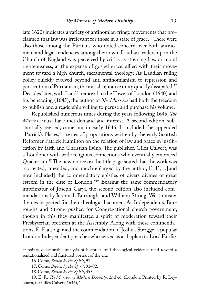late 1620s indicates a variety of antinomian fringe movements that proclaimed that law was irrelevant for those in a state of grace.<sup>16</sup> There were also those among the Puritans who noted concern over both antinomian and legal tendencies among their own. Laudian leadership in the Church of England was perceived by critics as stressing law, or moral righteousness, at the expense of gospel grace, allied with their movement toward a high church, sacramental theology. As Laudian ruling policy quickly evolved beyond anti-antinomianism to repression and persecution of Puritanism, the initial, tentative unity quickly dissipated.17 Decades later, with Laud's removal to the Tower of London (1640) and his beheading (1645), the author of *!e Marrow* had both the freedom to publish and a readership willing to peruse and purchase his volume.

Republished numerous times during the years following 1645, *!e Marrow* must have met demand and interest. A second edition, substantially revised, came out in early 1646. It included the appended "Patrick's Places," a series of propositions written by the early Scottish Reformer Patrick Hamilton on the relation of law and grace in justification by faith and Christian living. The publisher, Giles Calvert, was a Londoner with wide religious connections who eventually embraced Quakerism.<sup>18</sup> The new notice on the title page stated that the work was "corrected, amended, and much enlarged by the author, E. F.,...[and now included] the commendatory epistles of divers divines of great esteem in the citie of London."19 Bearing the same commendatory imprimatur of Joseph Caryl, the second edition also included commendations by Jeremiah Burroughs and William Strong, Westminster divines respected for their theological acumen. As Independents, Burroughs and Strong pushed for Congregational church government, though in this they manifested a spirit of moderation toward their Presbyterian brethren at the Assembly. Along with these commendations, E. F. also gained the commendation of Joshua Sprigge, a popular London Independent preacher who served as a chaplain to Lord Fairfax

at points, questionable analysis of historical and theological evidence tend toward a sensationalized and fractured portrait of the era.

<sup>16.</sup> Como, *Blown by the Spirit*, 91.

<sup>17.</sup> Como, *Blown by the Spirit*, 91–92.

<sup>18.</sup> Como, *Blown by the Spirit*, 455.

<sup>19.</sup> E. F., *!e Marrow of Modern Divinity*, 2nd ed. (London: Printed by R. Leybourn, for Giles Calvert, 1646), 1.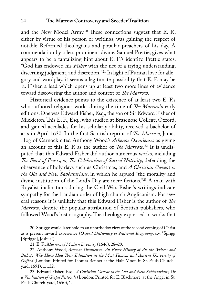and the New Model Army.<sup>20</sup> These connections suggest that E. F., either by virtue of his person or writings, was gaining the respect of notable Reformed theologians and popular preachers of his day. A commendation by a less prominent divine, Samuel Prettie, gives what appears to be a tantalizing hint about E. F.'s identity. Prettie states, "God has endowed his *Fisher* with the net of a trying understanding, discerning judgment, and discretion."21 In light of Puritan love for allegory and wordplay, it seems a legitimate possibility that E. F. may be E. Fisher, a lead which opens up at least two more lines of evidence toward discovering the author and context of *!e Marrow*.

Historical evidence points to the existence of at least two E. F.s who authored religious works during the time of *The Marrow's* early editions. One was Edward Fisher, Esq., the son of Sir Edward Fisher of Mickleton. This E. F., Esq., who studied at Brasenose College, Oxford, and gained accolades for his scholarly ability, received a bachelor of arts in April 1630. In the first Scottish reprint of *The Marrow*, James Hog of Carnock cited Anthony Wood's *Athenae Oxonienses* as giving an account of this E. F. as the author of *!e Marrow*. 22 It is undisputed that this Edward Fisher did author numerous works, including *!e Feast of Feasts, or, !e Celebration of Sacred Nativity*, defending the observance of holy days such as Christmas, and *A Christian Caveat to the Old and New Sabbatarians*, in which he argued "the morality and divine institution of the Lord's Day are mere fictions."<sup>23</sup> A man with Royalist inclinations during the Civil War, Fisher's writings indicate sympathy for the Laudian order of high church Anglicanism. For several reasons it is unlikely that this Edward Fisher is the author of *The Marrow*, despite the popular attribution of Scottish publishers, who followed Wood's historiography. The theology expressed in works that

<sup>20.</sup> Sprigge would later hold to an unorthodox view of the second coming of Christ as a present inward experience (*Oxford Dictionary of National Biography*, s.v. "Sprigg [Sprigge], Joshua").

<sup>21.</sup> E. F., *Marrow of Modern Divinity* (1646), 28–29.

<sup>22.</sup> Anthony Wood, *Athenae Oxonienses: An Exact History of All the Writers and Bishops Who Have Had !eir Education in the Most Famous and Ancient University of Oxford* (London: Printed for Thomas Bennet at the Half-Moon in St. Pauls Churchyard, 1691), 1, 132.

<sup>23.</sup> Edward Fisher, Esq., *A Christian Caveat to the Old and New Sabbatarians, Or a Vindication of Gospel Festivals* (London: Printed for E. Blackmore, at the Angel in St. Pauls Church-yard, 1650), 1.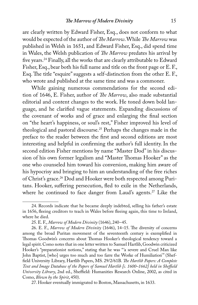are clearly written by Edward Fisher, Esq., does not conform to what would be expected of the author of *!e Marrow*. While *!e Marrow* was published in Welsh in 1651, and Edward Fisher, Esq., did spend time in Wales, the Welsh publication of *!e Marrow* predates his arrival by five years.<sup>24</sup> Finally, all the works that are clearly attributable to Edward Fisher, Esq., bear both his full name and title on the front page or E. F., Esq. The title "esquire" suggests a self-distinction from the other E. F., who wrote and published at the same time and was a commoner.

While gaining numerous commendations for the second edition of 1646, E. Fisher, author of *!e Marrow*, also made substantial editorial and content changes to the work. He toned down bold language, and he clarified vague statements. Expanding discussions of the covenant of works and of grace and enlarging the final section on "the heart's happiness, or soul's rest," Fisher improved his level of theological and pastoral discourse.25 Perhaps the changes made in the preface to the reader between the first and second editions are most interesting and helpful in confirming the author's full identity. In the second edition Fisher mentions by name "Master Dod" in his discussion of his own former legalism and "Master Thomas Hooker" as the one who counseled him toward his conversion, making him aware of his hypocrisy and bringing to him an understanding of the free riches of Christ's grace.26 Dod and Hooker were both respected among Puritans. Hooker, suffering persecution, fled to exile in the Netherlands, where he continued to face danger from Laud's agents.<sup>27</sup> Like the

<sup>24.</sup> Records indicate that he became deeply indebted, selling his father's estate in 1656, fleeing creditors to teach in Wales before fleeing again, this time to Ireland, where he died.

<sup>25.</sup> E. F., *Marrow of Modern Divinity* (1646), 240–45.

<sup>26.</sup> E. F., *Marrow of Modern Divinity* (1646), 14-15. The diversity of concerns among the broad Puritan movement of the seventeenth century is exemplified in Thomas Goodwin's concerns about Thomas Hooker's theological tendency toward a legal spirit. Como notes that in one letter written to Samuel Hartlib, Goodwin criticized Hooker's "preparationist notions," stating that he was "'a severe and Cruel Man like John Baptist, [who] urges too much and too farre the Worke of Humiliation'" (Shef field University Library, Hartlib Papers, MS. 29/2/61B. *The Hartlib Papers: A Complete Text and Image Database of the Papers of Samuel Hartlib [c. 1600–1662] held in She"eld University Library*, 2nd ed., Sheffield: Humanities Research Online, 2002, as cited in Como, *Blown by the Spirit*, 450).

<sup>27.</sup> Hooker eventually immigrated to Boston, Massachusetts, in 1633.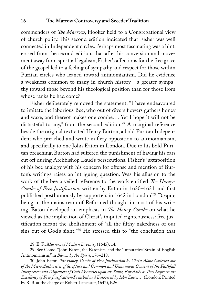commenders of *The Marrow*, Hooker held to a Congregational view of church polity. This second edition indicated that Fisher was well connected in Independent circles. Perhaps most fascinating was a hint, erased from the second edition, that after his conversion and movement away from spiritual legalism, Fisher's affections for the free grace of the gospel led to a feeling of sympathy and respect for those within Puritan circles who leaned toward antinomianism. Did he evidence a weakness common to many in church history—a greater sympathy toward those beyond his theological position than for those from whose ranks he had come?

Fisher deliberately removed the statement, "I have endeavoured to imitate the laborious Bee, who out of divers flowers gathers honey and waxe, and thereof makes one combe.... Yet I hope it will not be distasteful to any," from the second edition.<sup>28</sup> A marginal reference beside the original text cited Henry Burton, a bold Puritan Independent who preached and wrote in fiery opposition to antinomianism, and specifically to one John Eaton in London. Due to his bold Puritan preaching, Burton had suffered the punishment of having his ears cut off during Archbishop Laud's persecutions. Fisher's juxtaposition of his bee analogy with his concern for offense and mention of Burton's writings raises an intriguing question. Was his allusion to the work of the bee a veiled reference to the work entitled *The Honey*-*Combe of Free Justification*, written by Eaton in 1630-1631 and first published posthumously by supporters in 1642 in London?<sup>29</sup> Despite being in the mainstream of Reformed thought in most of his writing, Eaton developed an emphasis in *The Honey-Combe* on what he viewed as the implication of Christ's imputed righteousness: free justification meant the abolishment of "all the filthy nakedness of our sins out of God's sight."30 He stressed this to "the conclusion that

<sup>28.</sup> E. F., *Marrow of Modern Divinity* (1645), 14.

<sup>29.</sup> See Como, "John Eaton, the Eatonists, and the 'Imputative' Strain of English Antinomianism," in *Blown by the Spirit*, 176–218.

<sup>30.</sup> John Eaton, *The Honey-Combe of Free Justification by Christ Alone Collected out of the Meere Authorities of Scripture and Common and Unanimous Consent of the Faithfull Interpreters and Dispensers of Gods Mysteries upon the Same, Especially as !ey Expresse the Excellency of Free Justi#cation/Preached and Delivered by Iohn Eaton...* (London: Printed by R. B. at the charge of Robert Lancaster, 1642), B2v.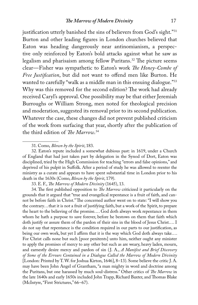justification utterly banished the sins of believers from God's sight."31 Burton and other leading figures in London churches believed that Eaton was heading dangerously near antinomianism, a perspective only reinforced by Eaton's bold attacks against what he saw as legalism and pharisaism among fellow Puritans.<sup>32</sup> The picture seems clear—Fisher was sympathetic to Eaton's work *!e Honey-Combe of*  Free Justification, but did not want to offend men like Burton. He wanted to carefully "walk as a middle man in this ensuing dialogue."33 Why was this removed for the second edition? The work had already received Caryl's approval. One possibility may be that either Jeremiah Burroughs or William Strong, men noted for theological precision and moderation, suggested its removal prior to its second publication. Whatever the case, these changes did not prevent published criticism of the work from surfacing that year, shortly after the publication of the third edition of *!e Marrow*. 34

33. E. F., *!e Marrow of Modern Divinity* (1645), 13.

34. The first published opposition to *The Marrow* criticized it particularly on the grounds that it argued that "true and evangelical repentance is a fruit of faith, and cannot be before faith in Christ." The concerned author went on to state: "I will show you the contrary...that it is not a fruit of justifying faith, but a work of the Spirit, to prepare the heart to the believing of the promise.... God doth always work repentance in them whom he hath a purpose to save forever, before he bestows on them that faith which doth justify or assure them of the pardon of their sins in the blood of Jesus Christ.... I do not say that repentance is the condition required in our parts to our justification, as being our own work, but yet I affirm that it is the way which God doth always take.... For Christ calls none but such [poor penitents] unto him, neither ought any minister to apply the promises of mercy to any other but such as are weary, heavy laden, mourn, and earnestly desire mercy and pardon of sin ( J. A., *A Manifest and Brief Discovery of Some of the Errours Contained in a Dialogue Called the Marrow of Modern Divinity* [London: Printed by T. W. for Joshua Kirton, 1646], 8–13). Some believe the critic J. A. may have been John Angel of Grantham, "a man mighty in word and doctrine among the Puritans, but one harassed by much soul-distress." Other critics of *!e Marrow* in the late 1640s and early 1650s included John Trapp, Richard Baxter, and Thomas Blake (McIntyre, "First Strictures," 66–67).

<sup>31.</sup> Como, *Blown by the Spirit*, 183.

<sup>32.</sup> Eaton's repute included a somewhat dubious past: in 1619, under a Church of England that had just taken part by delegation in the Synod of Dort, Eaton was disciplined, tried by the High Commission for teaching "errors and false opinions," and deprived of his pulpit in Suffolk. After a period of study he was allowed to reenter the ministry as a curate and appears to have spent substantial time in London prior to his death in the 1630s (Como, *Blown by the Spirit*, 179).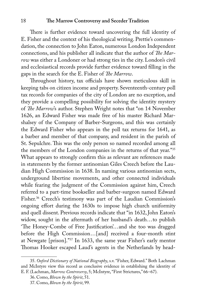#### 18 **!e Marrow Controversy and Seceder Tradition**

There is further evidence toward uncovering the full identity of E. Fisher and the context of his theological writing. Prettie's commendation, the connection to John Eaton, numerous London Independent connections, and his publisher all indicate that the author of *The Marrow* was either a Londoner or had strong ties in the city. London's civil and ecclesiastical records provide further evidence toward filling in the gaps in the search for the E. Fisher of *!e Marrow*.

Throughout history, tax officials have shown meticulous skill in keeping tabs on citizen income and property. Seventeenth-century poll tax records for companies of the city of London are no exception, and they provide a compelling possibility for solving the identity mystery of *The Marrow's* author. Stephen Wright notes that "on 14 November 1626, an Edward Fisher was made free of his master Richard Marshalsey of the Company of Barber-Surgeons, and this was certainly the Edward Fisher who appears in the poll tax returns for 1641, as a barber and member of that company, and resident in the parish of St. Sepulchre. This was the only person so named recorded among all the members of the London companies in the returns of that year."35 What appears to strongly confirm this as relevant are references made in statements by the former antinomian Giles Creech before the Laudian High Commission in 1638. In naming various antinomian sects, underground libertine movements, and other connected individuals while fearing the judgment of the Commission against him, Creech referred to a part-time bookseller and barber-surgeon named Edward Fisher.36 Creech's testimony was part of the Laudian Commission's ongoing effort during the 1630s to impose high church uniformity and quell dissent. Previous records indicate that "in 1632, John Eaton's widow, sought in the aftermath of her husband's death...to publish 'The Honey-Combe of Free Justification'...and she too was dragged before the High Commission...[and] received a four-month stint at Newgate [prison]."37 In 1633, the same year Fisher's early mentor Thomas Hooker escaped Laud's agents in the Netherlands by head-

<sup>35.</sup> *Oxford Dictionary of National Biography*, s.v. "Fisher, Edward." Both Lachman and McIntyre view this record as conclusive evidence in establishing the identity of E. F. (Lachman, *Marrow Controversy*, 5; McIntyre, "First Strictures," 66–67).

<sup>36.</sup> Como, *Blown by the Spirit*, 51.

<sup>37.</sup> Como, *Blown by the Spirit*, 99.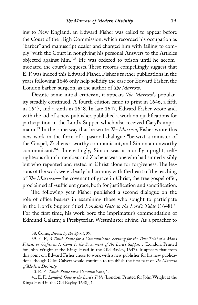ing to New England, an Edward Fisher was called to appear before the Court of the High Commission, which recorded his occupation as "barber" and manuscript dealer and charged him with failing to comply "with the Court in not giving his personal Answers to the Articles objected against him."38 He was ordered to prison until he accommodated the court's requests. These records compellingly suggest that E. F. was indeed this Edward Fisher. Fisher's further publications in the years following 1646 only help solidify the case for Edward Fisher, the London barber-surgeon, as the author of *The Marrow*.

Despite some initial criticism, it appears *The Marrow*'s popularity steadily continued. A fourth edition came to print in 1646, a fifth in 1647, and a sixth in 1648. In late 1647, Edward Fisher wrote and, with the aid of a new publisher, published a work on qualifications for participation in the Lord's Supper, which also received Caryl's imprimatur.<sup>39</sup> In the same way that he wrote *The Marrow*, Fisher wrote this new work in the form of a pastoral dialogue "betwixt a minister of the Gospel, Zacheus a worthy communicant, and Simon an unworthy communicant."40 Interestingly, Simon was a morally upright, selfrighteous church member, and Zacheus was one who had sinned visibly but who repented and rested in Christ alone for forgiveness. The lessons of the work were clearly in harmony with the heart of the teaching of *The Marrow*—the covenant of grace in Christ, the free gospel offer, proclaimed all-sufficient grace, both for justification and sanctification.

The following year Fisher published a second dialogue on the role of office bearers in examining those who sought to participate in the Lord's Supper titled *London's Gate to the Lord's Table* (1648).<sup>41</sup> For the first time, his work bore the imprimatur's commendation of Edmund Calamy, a Presbyterian Westminster divine. As a preacher to

40. E. F., *Touch-Stone for a Communicant*, 1.

41. E. F., *London's Gate to the Lord's Table* (London: Printed for John Wright at the Kings Head in the Old Bayley, 1648), 1.

<sup>38.</sup> Como, *Blown by the Spirit*, 99.

<sup>39.</sup> E. F., *A Touch-Stone for a Communicant. Serving for the True Trial of a Man's*  Fitness or Unfitness to Come to the Sacrament of the Lord's Supper... (London: Printed for John Wright at the Kings Head in the Old Bayley, 1647). It appears that from this point on, Edward Fisher chose to work with a new publisher for his new publications, though Giles Calvert would continue to republish the first part of *The Marrow of Modern Divinity.*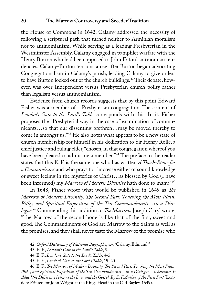the House of Commons in 1642, Calamy addressed the necessity of following a scriptural path that turned neither to Arminian moralism nor to antinomianism. While serving as a leading Presbyterian in the Westminster Assembly, Calamy engaged in pamphlet warfare with the Henry Burton who had been opposed to John Eaton's antinomian tendencies*.* Calamy-Burton tensions arose after Burton began advocating Congregationalism in Calamy's parish, leading Calamy to give orders to have Burton locked out of the church buildings.<sup>42</sup> Their debate, however, was over Independent versus Presbyterian church polity rather than legalism versus antinomianism.

Evidence from church records suggests that by this point Edward Fisher was a member of a Presbyterian congregation. The content of *London's Gate to the Lord's Table* corresponds with this. In it, Fisher proposes the "Presbyterial way in the case of examination of communicants...so that our dissenting brethren...may be moved thereby to come in amongst us."43 He also notes what appears to be a new state of church membership for himself in his dedication to Sir Henry Rolle, a chief justice and ruling elder, "chosen, in that congregation whereof you have been pleased to admit me a member."<sup>44</sup> The preface to the reader states that this E. F. is the same one who has written *A Touch-Stone for a Communicant* and who prays for "increase either of sound knowledge or sweet feeling in the mysteries of Christ...as blessed by God (I have been informed) my *Marrow of Modern Divinity* hath done to many."45

In 1648, Fisher wrote what would be published in 1649 as *The Marrow of Modern Divinity. !e Second Part. Touching the Most Plain, Pithy, and Spiritual Exposition of the Ten Commandments...in a Dialogue.*46 Commending this addition to *!e Marrow*, Joseph Caryl wrote, "The Marrow of the second bone is like that of the first, sweet and good. The Commandments of God are Marrow to the Saints as well as the promises, and they shall never taste the Marrow of the promise who

<sup>42.</sup> *Oxford Dictionary of National Biography*, s.v. "Calamy, Edmund."

<sup>43.</sup> E. F., *London's Gate to the Lord's Table*, 5.

<sup>44.</sup> E. F., *London's Gate to the Lord's Table*, 4–5.

<sup>45.</sup> E. F., *London's Gate to the Lord's Table*, 19–20.

<sup>46.</sup> E. F., *!e Marrow of Modern Divinity. !e Second Part. Touching the Most Plain, Pithy, and Spiritual Exposition of the Ten Commandments...in a Dialogue...whereunto Is Added the Di\$erence betwixt the Law and the Gospel. By E. F. Author of the First Part* (London: Printed for John Wright at the Kings Head in the Old Bayley, 1649).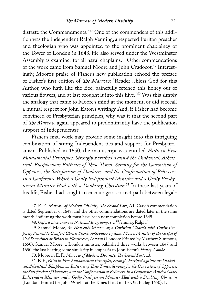distaste the Commandments."47 One of the commenders of this addition was the Independent Ralph Venning, a respected Puritan preacher and theologian who was appointed to the prominent chaplaincy of the Tower of London in 1648. He also served under the Westminster Assembly as examiner for all naval chaplains.<sup>48</sup> Other commendations of the work came from Samuel Moore and John Cradocot.<sup>49</sup> Interestingly, Moore's praise of Fisher's new publication echoed the preface of Fisher's first edition of *The Marrow*: "Reader...bless God for this Author, who hath like the Bee, painefully fetched this honey out of various flowers, and at last brought it into this hive."<sup>50</sup> Was this simply the analogy that came to Moore's mind at the moment, or did it recall a mutual respect for John Eaton's writing? And, if Fisher had become convinced of Presbyterian principles, why was it that the second part of *!e Marrow* again appeared to predominantly have the publication support of Independents?

Fisher's final work may provide some insight into this intriguing combination of strong Independent ties and support for Presbyterianism. Published in 1650, the manuscript was entitled *Faith in Five Fundamental Principles, Strongly Forti#ed against the Diabolical, Atheistical, Blasphemous Batteries of !ese Times. Serving for the Conviction of Opposers, the Satisfaction of Doubters, and the Confirmation of Believers. In a Conference Which a Godly Independent Minister and a Godly Presbyterian Minister Had with a Doubting Christian*. 51 In these last years of his life, Fisher had sought to encourage a correct path between legal-

<sup>47.</sup> E. F., *Marrow of Modern Divinity. !e Second Part*, A1. Caryl's commendation is dated September 6, 1648, and the other commendations are dated later in the same month, indicating the work must have been near completion before 1649*.* 

<sup>48.</sup> *Oxford Dictionary of National Biography*, s.v. "Venning, Ralph."

<sup>49.</sup> Samuel Moore, *An Heavenly Wonder, or, a Christian Cloath'd with Christ Purposely Penned to Comfort Christs Sin-Sick-Spouse / by Sam. Moore, Minister of the Gospel of God Sometimes at Brides in Fleetstreete, London* (London: Printed by Matthew Simmons, 1650). Samuel Moore, a London minister, published three works between 1647 and 1650, the last bearing some similarity in emphasis to John Eaton's *Honey-Combe*.

<sup>50.</sup> Moore in E. F., *Marrow of Modern Divinity. !e Second Part*, 13.

<sup>51.</sup> E. F., Faith in Five Fundamental Principles, Strongly Fortified against the Diaboli*cal, Atheistical, Blasphemous Batteries of !ese Times. Serving for the Conviction of Opposers, the Satisfaction of Doubters, and the Con#rmation of Believers. In a Conference Which a Godly Independent Minister and a Godly Presbyterian Minister Had with a Doubting Christian*  (London: Printed for John Wright at the Kings Head in the Old Bailey, 1650), 1.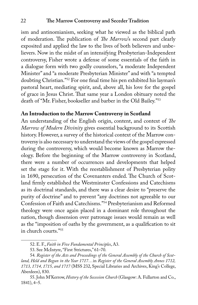#### 22 **!e Marrow Controversy and Seceder Tradition**

ism and antinomianism, seeking what he viewed as the biblical path of moderation. The publication of *The Marrow*'s second part clearly exposited and applied the law to the lives of both believers and unbelievers. Now in the midst of an intensifying Presbyterian-Independent controversy, Fisher wrote a defense of some essentials of the faith in a dialogue form with two godly counselors, "a moderate Independent Minister" and "a moderate Presbyterian Minister" and with "a tempted doubting Christian."<sup>52</sup> For one final time his pen exhibited his layman's pastoral heart, mediating spirit, and, above all, his love for the gospel of grace in Jesus Christ. That same year a London obituary noted the death of "Mr. Fisher, bookseller and barber in the Old Bailey."53

### **An Introduction to the Marrow Controversy in Scotland**

An understanding of the English origin, content, and context of *The Marrow of Modern Divinity* gives essential background to its Scottish history. However, a survey of the historical context of the Marrow controversy is also necessary to understand the views of the gospel expressed during the controversy, which would become known as Marrow theology. Before the beginning of the Marrow controversy in Scotland, there were a number of occurrences and developments that helped set the stage for it. With the reestablishment of Presbyterian polity in 1690, persecution of the Covenanters ended. The Church of Scotland firmly established the Westminster Confessions and Catechisms as its doctrinal standards, and there was a clear desire to "preserve the purity of doctrine" and to prevent "any doctrines not agreeable to our Confession of Faith and Catechisms."54 Presbyterianism and Reformed theology were once again placed in a dominant role throughout the nation, though dissension over patronage issues would remain as well as the "imposition of oaths by the government, as a qualification to sit in church courts."55

<sup>52.</sup> E. F., *Faith in Five Fundamental Principles*, A3.

<sup>53.</sup> See McIntyre, "First Strictures," 61–70.

<sup>54</sup>*. Register of the Acts and Proceedings of the General Assembly of the Church of Scotland, Held and Begun in the Year 1717...*in *Register of the General Assembly Annes 1712, 1713, 1714, 1715, and 1717* (MSS 232, Special Libraries and Archives, King's College, Aberdeen), 830.

<sup>55.</sup> John M'Kerrow, *History of the Secession Church* (Glasgow: A. Fullarton and Co., 1841), 4–5.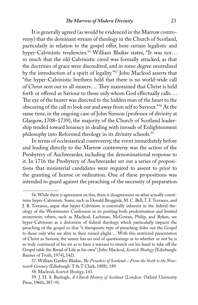It is generally agreed (as would be evidenced in the Marrow controversy) that the dominant stream of theology in the Church of Scotland, particularly in relation to the gospel offer, bore certain legalistic and hyper-Calvinistic tendencies.<sup>56</sup> William Blaikie states, "It was not... so much that the old Calvinistic creed was formally attacked, as that the doctrines of grace were discredited, and in some degree neutralised by the introduction of a spirit of legality."57 John Macleod asserts that "the hyper-Calvinistic brethren held that there is no world-wide call of Christ sent out to all sinners.... They maintained that Christ is held forth or offered as Saviour to those only whom God effectually calls.... The eye of the hearer was directed to the hidden man of the heart to the obscuring of the call to look out and away from self to Saviour."58 At the same time, in the ongoing case of John Simson (professor of divinity at Glasgow, 1708–1739), the majority of the Church of Scotland leadership tended toward leniency in dealing with inroads of Enlightenment philosophy into Reformed theology in its divinity schools.<sup>59</sup>

In terms of ecclesiastical controversy, the event immediately before and leading directly to the Marrow controversy was the action of the Presbytery of Auchterarder, including the denominational response to it. In 1716 the Presbytery of Auchterarder set out a series of propositions that ministerial candidates were required to assent to prior to the granting of license or ordination. One of these propositions was intended to guard against the preaching of the necessity of preparation

<sup>56.</sup> While there is agreement on this, there is disagreement on what actually constitutes hyper-Calvinism. Some, such as Donald Bruggink, M. C. Bell, T. F. Torrance, and J. B. Torrance, argue that hyper-Calvinism is essentially inherent in the federal theology of the Westminster Confession in its positing both predestination and limited atonement; others, such as Macleod, Lachman, McGowan, Philip, and Ryken, see hyper-Calvinism as a distortion of federal theology, which particularly impacts the preaching of the gospel so that "a therapeutic type of preaching doles out the Gospel to those only who are alive to their ruined plight.... With this restricted presentation of Christ as Saviour, the sinner has no end of questionings as to whether or not he is so truly convinced of his sin as to have a warrant to stretch out his hand to take off the Gospel table the Bread of Life as his own" ( John Macleod, *Scottish !eology* [Edinburgh: Banner of Truth, 1974], 142).

<sup>57.</sup> William Garden Blaikie, *!e Preachers of Scotland—From the Sixth to the Nineteenth Century* (Edinburgh: T & T Clark, 1888), 189.

<sup>58.</sup> Macleod, *Scottish !eology*, 143.

<sup>59.</sup> J. H. S. Burleigh, *A Church History of Scotland* (London: Oxford University Press, 1960), 287–91.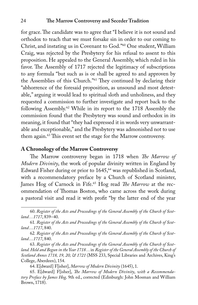#### 24 **!e Marrow Controversy and Seceder Tradition**

for grace. The candidate was to agree that "I believe it is not sound and orthodox to teach that we must forsake sin in order to our coming to Christ, and instating us in Covenant to God."60 One student, William Craig, was rejected by the Presbytery for his refusal to assent to this proposition. He appealed to the General Assembly, which ruled in his favor. The Assembly of 1717 rejected the legitimacy of subscriptions to any formula "but such as is or shall be agreed to and approven by the Assemblies of this Church."<sup>61</sup> They continued by declaring their "abhorrence of the foresaid proposition, as unsound and most detestable," arguing it would lead to spiritual sloth and unholiness, and they requested a commission to further investigate and report back to the following Assembly.62 While in its report to the 1718 Assembly the commission found that the Presbytery was sound and orthodox in its meaning, it found that "they had expressed it in words very unwarrantable and exceptionable," and the Presbytery was admonished not to use them again.<sup>63</sup> This event set the stage for the Marrow controversy.

#### **A Chronology of the Marrow Controversy**

The Marrow controversy began in 1718 when *The Marrow of Modern Divinity*, the work of popular divinity written in England by Edward Fisher during or prior to 1645,<sup>64</sup> was republished in Scotland, with a recommendatory preface by a Church of Scotland minister, James Hog of Carnock in Fife.<sup>65</sup> Hog read *The Marrow* at the recommendation of Thomas Boston, who came across the work during a pastoral visit and read it with profit "by the latter end of the year

64. E[dward] F[isher], *Marrow of Modern Divinity* (1645), 1.

<sup>60.</sup> *Register of the Acts and Proceedings of the General Assembly of the Church of Scotland...1717*, 839–40.

<sup>61</sup>*. Register of the Acts and Proceedings of the General Assembly of the Church of Scotland*...*1717*, 840.

<sup>62</sup>*. Register of the Acts and Proceedings of the General Assembly of the Church of Scotland*...*1717*, 840.

<sup>63.</sup> *Register of the Acts and Proceedings of the General Assembly of the Church of Scotland. Held and Begun in the Year 1718...*in *Register of the General Assembly of the Church of Scotland Annes 1718, 19, 20, & 1721* (MSS 233, Special Libraries and Archives, King's College, Aberdeen), 154.

<sup>65.</sup> E[dward] F[isher], *!e Marrow of Modern Divinity*, *with a Recommendatory Preface by James Hog,* 9th ed., corrected (Edinburgh: John Mosman and William Brown, 1718).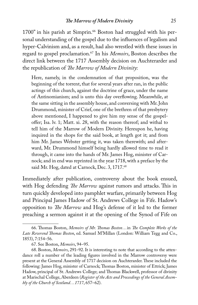1700" in his parish at Simprin.<sup>66</sup> Boston had struggled with his personal understanding of the gospel due to the influences of legalism and hyper-Calvinism and, as a result, had also wrestled with these issues in regard to gospel proclamation.67 In his *Memoirs*, Boston describes the direct link between the 1717 Assembly decision on Auchterarder and the republication of *The Marrow of Modern Divinity*:

Here, namely, in the condemnation of that proposition, was the beginning of the torrent, that for several years after ran, in the public actings of this church, against the doctrine of grace, under the name of Antinomianism; and is unto this day overflowing. Meanwhile, at the same sitting in the assembly house, and conversing with Mr. John Drummond, minister of Crief, one of the brethren of that presbytery above mentioned, I happened to give him my sense of the gospeloffer; Isa. lv. 1; Matt. xi. 28, with the reason thereof; and withal to tell him of the Marrow of Modern Divinity. Hereupon he, having inquired in the shops for the said book, at length got it; and from him Mr. James Webster getting it, was taken therewith; and afterward, Mr. Drummond himself being hardly allowed time to read it through, it came into the hands of Mr. James Hog, minister of Carnock; and in end was reprinted in the year 1718, with a preface by the said Mr. Hog, dated at Carnock, Dec. 3, 1717.68

Immediately after publication, controversy about the book ensued, with Hog defending *The Marrow* against rumors and attacks. This in turn quickly developed into pamphlet warfare, primarily between Hog and Principal James Hadow of St. Andrews College in Fife. Hadow's opposition to *The Marrow* and Hog's defense of it led to the former preaching a sermon against it at the opening of the Synod of Fife on

<sup>66.</sup> Thomas Boston, *Memoirs of Mr. Thomas Boston...*in *The Complete Works of the Late Reverend !omas Boston*, ed. Samuel M'Millan (London: William Tegg and Co., 1853), 7:154–56.

<sup>67.</sup> See Boston, *Memoirs*, 94–95.

<sup>68.</sup> Boston, *Memoirs*, 291–92. It is interesting to note that according to the attendance roll a number of the leading figures involved in the Marrow controversy were present at the General Assembly of 1717 decision on Auchterarder. These included the following: James Hog, minister of Carnock; Thomas Boston, minister of Ettrick; James Hadow, principal of St. Andrews College; and Thomas Blackwell, professor of divinity at Marischal College, Aberdeen (*Register of the Acts and Proceedings of the General Assembly of the Church of Scotland...1717*, 657–62).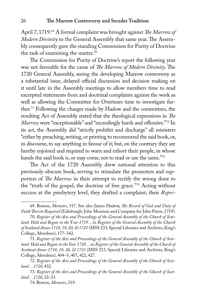April 7, 1719.<sup>69</sup> A formal complaint was brought against *The Marrow of Modern Divinity* to the General Assembly that same year. The Assembly consequently gave the standing Commission for Purity of Doctrine the task of examining the matter.70

The Commission for Purity of Doctrine's report the following year was not favorable for the cause of *The Marrow of Modern Divinity*. The 1720 General Assembly, seeing the developing Marrow controversy as a substantial issue, delayed official discussion and decision making on it until late in the Assembly meetings to allow members time to read excerpted statements from and doctrinal complaints against the work as well as allowing the Committee for Overtures time to investigate further.71 Following the charges made by Hadow and the committees, the resulting Act of Assembly stated that the theological expressions in *The Marrow* were "exceptionable" and "exceedingly harsh and offensive."72 In its act, the Assembly did "strictly prohibit and discharge" all ministers "either by preaching, writing, or printing to recommend the said book, or, in discourse, to say anything in favour of it; but, on the contrary they are hereby enjoined and required to warn and exhort their people, in whose hands the said book is, or may come, not to read or use the same."73

The Act of the 1720 Assembly drew national attention to this previously obscure book, serving to stimulate the promoters and supporters of *The Marrow* in their attempt to rectify the wrong done to the "truth of the gospel, the doctrine of free grace."74 Acting without success at the presbytery level, they drafted a complaint, their *Repre-*

<sup>69.</sup> Boston, *Memoirs*, 317. See also James Hadow, *!e Record of God and Duty of Faith !erein Required* (Edinburgh: John Mosman and Company for John Paton, 1719).

<sup>70</sup>*. Register of the Acts and Proceedings of the General Assembly of the Church of Scotland. Held and Begun in the* Y*ear 1719...*in *Register of the General Assembly of the Church of Scotland Annes 1718, 19, 20, & 1721* (MSS 233, Special Libraries and Archives, King's College, Aberdeen), 177–342.

<sup>71</sup>*. Register of the Acts and Proceedings of the General Assembly of the Church of Scotland. Held and Begun in the Year 1720...*in *Register of the General Assembly of the Church of Scotland Annes 1718, 19, 20, & 1721* (MSS 233, Special Libraries and Archives, King's College, Aberdeen), 404–5, 407, 422, 427.

<sup>72</sup>*. Register of the Acts and Proceedings of the General Assembly of the Church of Scotland...1720*, 432.

<sup>73</sup>*. Register of the Acts and Proceedings of the General Assembly of the Church of Scotland...1720*, 32–33.

<sup>74.</sup> Boston, *Memoirs*, 319.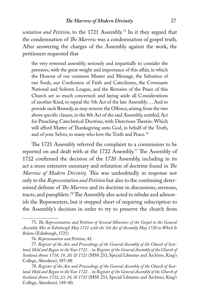sentation and Petition, to the 1721 Assembly.<sup>75</sup> In it they argued that the condemnation of *The Marrow* was a condemnation of gospel truth. After answering the charges of the Assembly against the work, the petitioners requested that

the very reverend assembly, seriously and impartially to consider the premises, with the great weight and importance of this affair, in which the Honour of our common Master and Message, the Salvation of our Souls, our Confession of Faith and Catechisms, the Covenants National and Solemn League, and the Remains of the Peace of this Church are so much concerned: and laying aside all Considerations of another Kind, to repeal the 5th Act of the late Assembly.... And to provide such Remedy, as may remove the Offence, arising from the two above specific clauses, in the 8th Act of the said Assembly, entitled, Act for Preaching Catechetical Doctrine, with Directions Therein: Which will afford Matter of Thanksgiving unto God, in behalf of the Truth, and of your Selves, to many who love the Truth and Peace.<sup>76</sup>

The 1721 Assembly referred the complaint to a commission to be reported on and dealt with at the 1722 Assembly.<sup>77</sup> The Assembly of 1722 confirmed the decision of the 1720 Assembly, including in its act a more extensive summary and refutation of doctrine found in *The Marrow of Modern Divinity*. This was undoubtedly in response not only to the *Representation and Petition* but also to the continuing determined defense of *The Marrow* and its doctrine in discussions, sermons, tracts, and pamphlets.<sup>78</sup> The Assembly also acted to rebuke and admonish the Representers, but it stopped short of requiring subscription to the Assembly's decision in order to try to preserve the church from

<sup>75</sup>**.** *!e Representation and Petition of Several Ministers of the Gospel to the General Assembly Met at Edinburgh May 1721 with the 5th Act of Assembly May 1720 to Which It Relates* (Edinburgh, 1721).

<sup>76</sup>*. Representation and Petition*, 42.

<sup>77</sup>*. Register of the Acts and Proceedings of the General Assembly of the Church of Scotland. Held and Begun in the Year 1721...*in *Register of the General Assembly of the Church of Scotland Annes 1718, 19, 20, & 1721* (MSS 233, Special Libraries and Archives, King's College, Aberdeen), 587–88.

<sup>78.</sup> *Register of the Acts and Proceedings of the General Assembly of the Church of Scotland. Held and Begun in the Year 1722...*in *Register of the General Assembly of the Church of Scotland Annes 1722, 23, 24, & 1725* (MSS 233, Special Libraries and Archives, King's College, Aberdeen), 149–80.